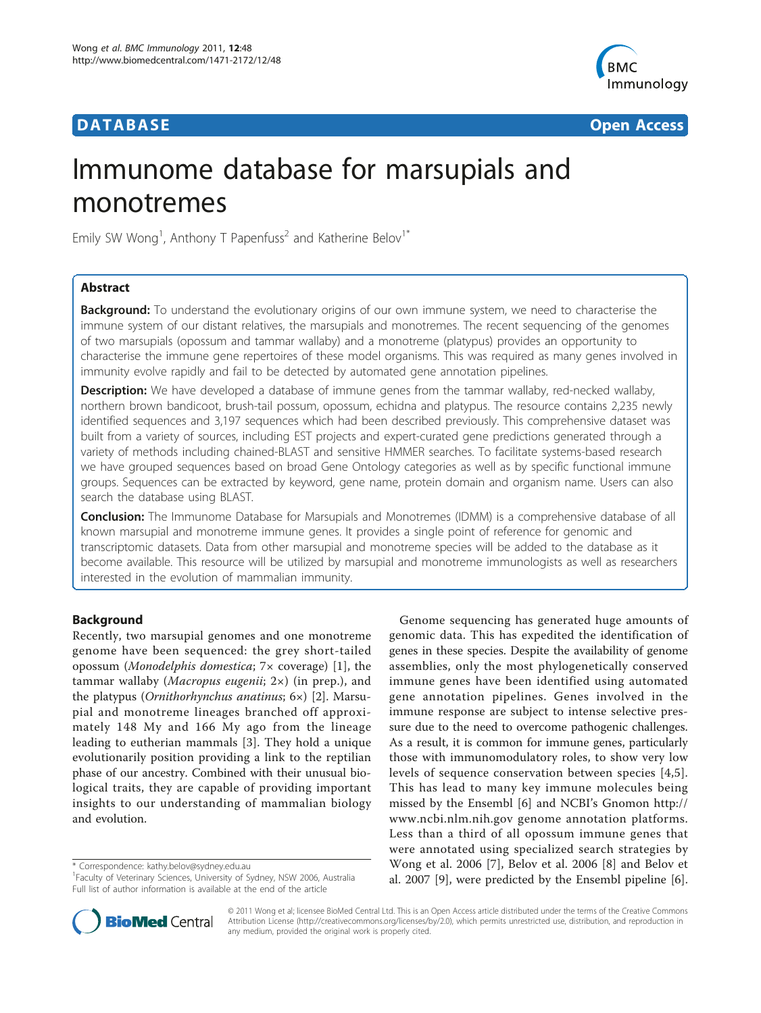# **DATABASE CONSTRUCTER CONSTRUCTION**



# Immunome database for marsupials and monotremes

Emily SW Wong<sup>1</sup>, Anthony T Papenfuss<sup>2</sup> and Katherine Belov<sup>1\*</sup>

# Abstract

**Background:** To understand the evolutionary origins of our own immune system, we need to characterise the immune system of our distant relatives, the marsupials and monotremes. The recent sequencing of the genomes of two marsupials (opossum and tammar wallaby) and a monotreme (platypus) provides an opportunity to characterise the immune gene repertoires of these model organisms. This was required as many genes involved in immunity evolve rapidly and fail to be detected by automated gene annotation pipelines.

**Description:** We have developed a database of immune genes from the tammar wallaby, red-necked wallaby, northern brown bandicoot, brush-tail possum, opossum, echidna and platypus. The resource contains 2,235 newly identified sequences and 3,197 sequences which had been described previously. This comprehensive dataset was built from a variety of sources, including EST projects and expert-curated gene predictions generated through a variety of methods including chained-BLAST and sensitive HMMER searches. To facilitate systems-based research we have grouped sequences based on broad Gene Ontology categories as well as by specific functional immune groups. Sequences can be extracted by keyword, gene name, protein domain and organism name. Users can also search the database using BLAST.

Conclusion: The Immunome Database for Marsupials and Monotremes (IDMM) is a comprehensive database of all known marsupial and monotreme immune genes. It provides a single point of reference for genomic and transcriptomic datasets. Data from other marsupial and monotreme species will be added to the database as it become available. This resource will be utilized by marsupial and monotreme immunologists as well as researchers interested in the evolution of mammalian immunity.

# Background

Recently, two marsupial genomes and one monotreme genome have been sequenced: the grey short-tailed opossum (Monodelphis domestica; 7× coverage) [[1\]](#page-4-0), the tammar wallaby (Macropus eugenii;  $2 \times$ ) (in prep.), and the platypus (Ornithorhynchus anatinus; 6×) [\[2\]](#page-4-0). Marsupial and monotreme lineages branched off approximately 148 My and 166 My ago from the lineage leading to eutherian mammals [[3\]](#page-4-0). They hold a unique evolutionarily position providing a link to the reptilian phase of our ancestry. Combined with their unusual biological traits, they are capable of providing important insights to our understanding of mammalian biology and evolution.

\* Correspondence: [kathy.belov@sydney.edu.au](mailto:kathy.belov@sydney.edu.au)

Genome sequencing has generated huge amounts of genomic data. This has expedited the identification of genes in these species. Despite the availability of genome assemblies, only the most phylogenetically conserved immune genes have been identified using automated gene annotation pipelines. Genes involved in the immune response are subject to intense selective pressure due to the need to overcome pathogenic challenges. As a result, it is common for immune genes, particularly those with immunomodulatory roles, to show very low levels of sequence conservation between species [\[4,5](#page-4-0)]. This has lead to many key immune molecules being missed by the Ensembl [\[6](#page-4-0)] and NCBI's Gnomon [http://](http://www.ncbi.nlm.nih.gov) [www.ncbi.nlm.nih.gov](http://www.ncbi.nlm.nih.gov) genome annotation platforms. Less than a third of all opossum immune genes that were annotated using specialized search strategies by Wong et al. 2006 [[7](#page-4-0)], Belov et al. 2006 [[8](#page-4-0)] and Belov et al. 2007 [[9](#page-4-0)], were predicted by the Ensembl pipeline [\[6](#page-4-0)].



© 2011 Wong et al; licensee BioMed Central Ltd. This is an Open Access article distributed under the terms of the Creative Commons Attribution License [\(http://creativecommons.org/licenses/by/2.0](http://creativecommons.org/licenses/by/2.0)), which permits unrestricted use, distribution, and reproduction in any medium, provided the original work is properly cited.

<sup>&</sup>lt;sup>1</sup> Faculty of Veterinary Sciences, University of Sydney, NSW 2006, Australia Full list of author information is available at the end of the article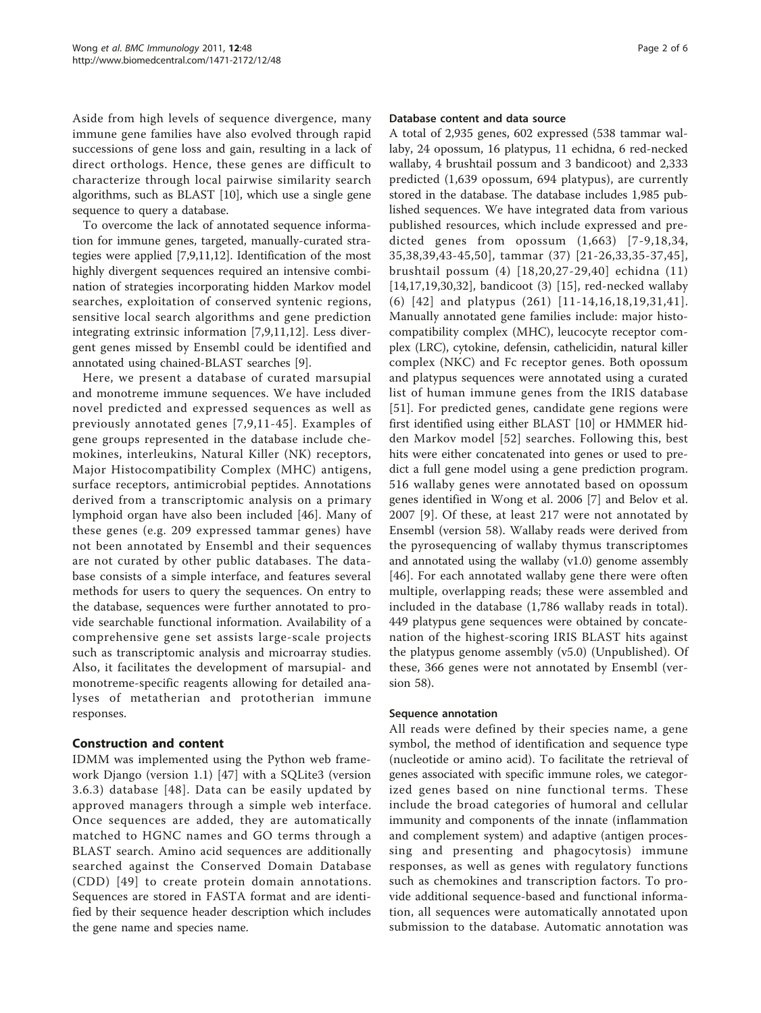Aside from high levels of sequence divergence, many immune gene families have also evolved through rapid successions of gene loss and gain, resulting in a lack of direct orthologs. Hence, these genes are difficult to characterize through local pairwise similarity search algorithms, such as BLAST [[10\]](#page-4-0), which use a single gene sequence to query a database.

To overcome the lack of annotated sequence information for immune genes, targeted, manually-curated strategies were applied [\[7,9,11,12\]](#page-4-0). Identification of the most highly divergent sequences required an intensive combination of strategies incorporating hidden Markov model searches, exploitation of conserved syntenic regions, sensitive local search algorithms and gene prediction integrating extrinsic information [[7,9,11,12](#page-4-0)]. Less divergent genes missed by Ensembl could be identified and annotated using chained-BLAST searches [[9\]](#page-4-0).

Here, we present a database of curated marsupial and monotreme immune sequences. We have included novel predicted and expressed sequences as well as previously annotated genes [[7,9,11-](#page-4-0)[45\]](#page-5-0). Examples of gene groups represented in the database include chemokines, interleukins, Natural Killer (NK) receptors, Major Histocompatibility Complex (MHC) antigens, surface receptors, antimicrobial peptides. Annotations derived from a transcriptomic analysis on a primary lymphoid organ have also been included [[46](#page-5-0)]. Many of these genes (e.g. 209 expressed tammar genes) have not been annotated by Ensembl and their sequences are not curated by other public databases. The database consists of a simple interface, and features several methods for users to query the sequences. On entry to the database, sequences were further annotated to provide searchable functional information. Availability of a comprehensive gene set assists large-scale projects such as transcriptomic analysis and microarray studies. Also, it facilitates the development of marsupial- and monotreme-specific reagents allowing for detailed analyses of metatherian and prototherian immune responses.

# Construction and content

IDMM was implemented using the Python web framework Django (version 1.1) [\[47\]](#page-5-0) with a SQLite3 (version 3.6.3) database [[48\]](#page-5-0). Data can be easily updated by approved managers through a simple web interface. Once sequences are added, they are automatically matched to HGNC names and GO terms through a BLAST search. Amino acid sequences are additionally searched against the Conserved Domain Database (CDD) [[49](#page-5-0)] to create protein domain annotations. Sequences are stored in FASTA format and are identified by their sequence header description which includes the gene name and species name.

# Database content and data source

A total of 2,935 genes, 602 expressed (538 tammar wallaby, 24 opossum, 16 platypus, 11 echidna, 6 red-necked wallaby, 4 brushtail possum and 3 bandicoot) and 2,333 predicted (1,639 opossum, 694 platypus), are currently stored in the database. The database includes 1,985 published sequences. We have integrated data from various published resources, which include expressed and predicted genes from opossum (1,663) [[7](#page-4-0)-[9,18](#page-4-0),[34](#page-4-0), [35](#page-5-0),[38](#page-5-0),[39](#page-5-0),[43](#page-5-0)-[45,50\]](#page-5-0), tammar (37) [[21-26](#page-4-0),[33](#page-4-0),[35](#page-5-0)-[37,45\]](#page-5-0), brushtail possum (4) [[18](#page-4-0),[20](#page-4-0),[27-29](#page-4-0),[40\]](#page-5-0) echidna (11) [[14,17](#page-4-0),[19](#page-4-0),[30,32](#page-4-0)], bandicoot (3) [[15\]](#page-4-0), red-necked wallaby (6) [[42\]](#page-5-0) and platypus (261) [[11](#page-4-0)-[14,16](#page-4-0),[18,19](#page-4-0),[31](#page-4-0),[41\]](#page-5-0). Manually annotated gene families include: major histocompatibility complex (MHC), leucocyte receptor complex (LRC), cytokine, defensin, cathelicidin, natural killer complex (NKC) and Fc receptor genes. Both opossum and platypus sequences were annotated using a curated list of human immune genes from the IRIS database [[51](#page-5-0)]. For predicted genes, candidate gene regions were first identified using either BLAST [\[10](#page-4-0)] or HMMER hidden Markov model [\[52\]](#page-5-0) searches. Following this, best hits were either concatenated into genes or used to predict a full gene model using a gene prediction program. 516 wallaby genes were annotated based on opossum genes identified in Wong et al. 2006 [[7\]](#page-4-0) and Belov et al. 2007 [[9](#page-4-0)]. Of these, at least 217 were not annotated by Ensembl (version 58). Wallaby reads were derived from the pyrosequencing of wallaby thymus transcriptomes and annotated using the wallaby (v1.0) genome assembly [[46](#page-5-0)]. For each annotated wallaby gene there were often multiple, overlapping reads; these were assembled and included in the database (1,786 wallaby reads in total). 449 platypus gene sequences were obtained by concatenation of the highest-scoring IRIS BLAST hits against the platypus genome assembly (v5.0) (Unpublished). Of these, 366 genes were not annotated by Ensembl (version 58).

#### Sequence annotation

All reads were defined by their species name, a gene symbol, the method of identification and sequence type (nucleotide or amino acid). To facilitate the retrieval of genes associated with specific immune roles, we categorized genes based on nine functional terms. These include the broad categories of humoral and cellular immunity and components of the innate (inflammation and complement system) and adaptive (antigen processing and presenting and phagocytosis) immune responses, as well as genes with regulatory functions such as chemokines and transcription factors. To provide additional sequence-based and functional information, all sequences were automatically annotated upon submission to the database. Automatic annotation was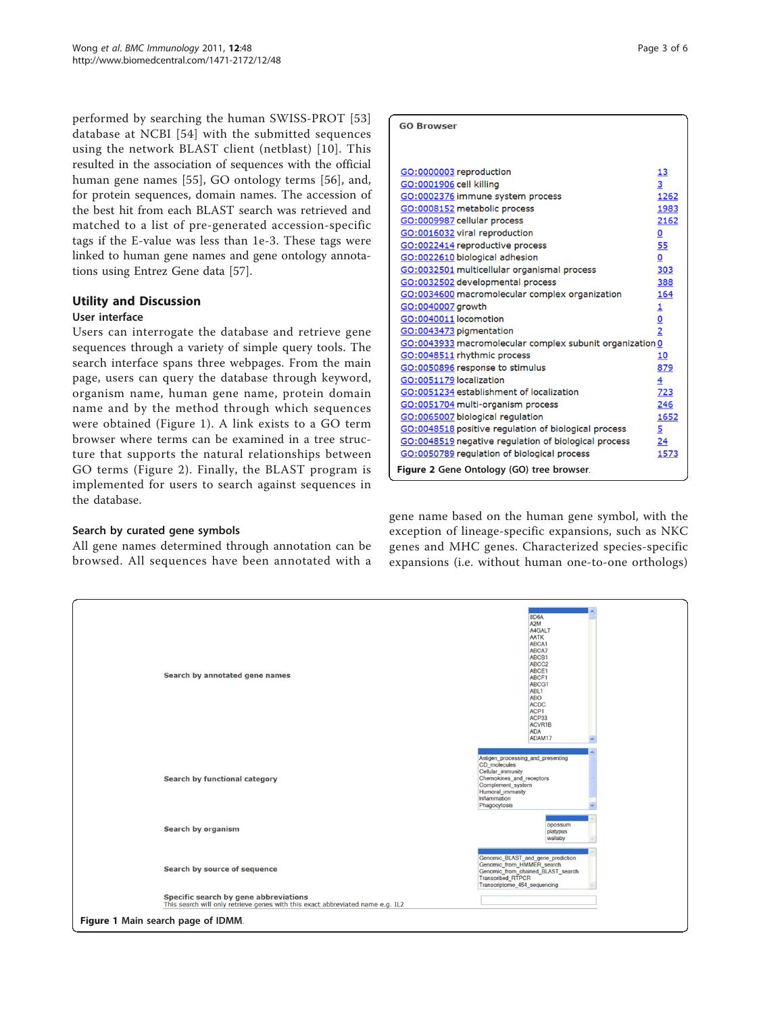<span id="page-2-0"></span>performed by searching the human SWISS-PROT [\[53](#page-5-0)] database at NCBI [[54\]](#page-5-0) with the submitted sequences using the network BLAST client (netblast) [\[10\]](#page-4-0). This resulted in the association of sequences with the official human gene names [[55\]](#page-5-0), GO ontology terms [[56\]](#page-5-0), and, for protein sequences, domain names. The accession of the best hit from each BLAST search was retrieved and matched to a list of pre-generated accession-specific tags if the E-value was less than 1e-3. These tags were linked to human gene names and gene ontology annotations using Entrez Gene data [\[57](#page-5-0)].

# Utility and Discussion

# User interface

Users can interrogate the database and retrieve gene sequences through a variety of simple query tools. The search interface spans three webpages. From the main page, users can query the database through keyword, organism name, human gene name, protein domain name and by the method through which sequences were obtained (Figure 1). A link exists to a GO term browser where terms can be examined in a tree structure that supports the natural relationships between GO terms (Figure 2). Finally, the BLAST program is implemented for users to search against sequences in the database.

# Search by curated gene symbols

All gene names determined through annotation can be browsed. All sequences have been annotated with a

| <b>GO Browser</b>                                        |                           |
|----------------------------------------------------------|---------------------------|
|                                                          |                           |
|                                                          |                           |
| GO:0000003 reproduction                                  | <u>13</u>                 |
|                                                          |                           |
| GO:0001906 cell killing                                  | 3                         |
| GO:0002376 immune system process                         | 1262                      |
| GO:0008152 metabolic process                             | 1983                      |
| GO:0009987 cellular process                              | 2162                      |
| GO:0016032 viral reproduction                            | $\overline{\mathbf{0}}$   |
| GO:0022414 reproductive process                          | 55                        |
| GO:0022610 biological adhesion                           | 0                         |
| GO:0032501 multicellular organismal process              | 303                       |
| GO:0032502 developmental process                         | 388                       |
| GO:0034600 macromolecular complex organization           | 164                       |
| GO:0040007 growth                                        |                           |
| GO:0040011 locomotion                                    | $\frac{1}{\underline{0}}$ |
| GO:0043473 pigmentation                                  |                           |
| GO:0043933 macromolecular complex subunit organization 0 |                           |
| GO:0048511 rhythmic process                              | 10                        |
| GO:0050896 response to stimulus                          | 879                       |
| GO:0051179 localization                                  | 4                         |
| GO:0051234 establishment of localization                 | 723                       |
| GO:0051704 multi-organism process                        | 246                       |
| GO:0065007 biological regulation                         | 1652                      |
| GO:0048518 positive regulation of biological process     | 5                         |
| GO:0048519 negative regulation of biological process     | 24                        |
| GO:0050789 regulation of biological process              | 1573                      |
| Figure 2 Gene Ontology (GO) tree browser.                |                           |

gene name based on the human gene symbol, with the exception of lineage-specific expansions, such as NKC genes and MHC genes. Characterized species-specific expansions (i.e. without human one-to-one orthologs)

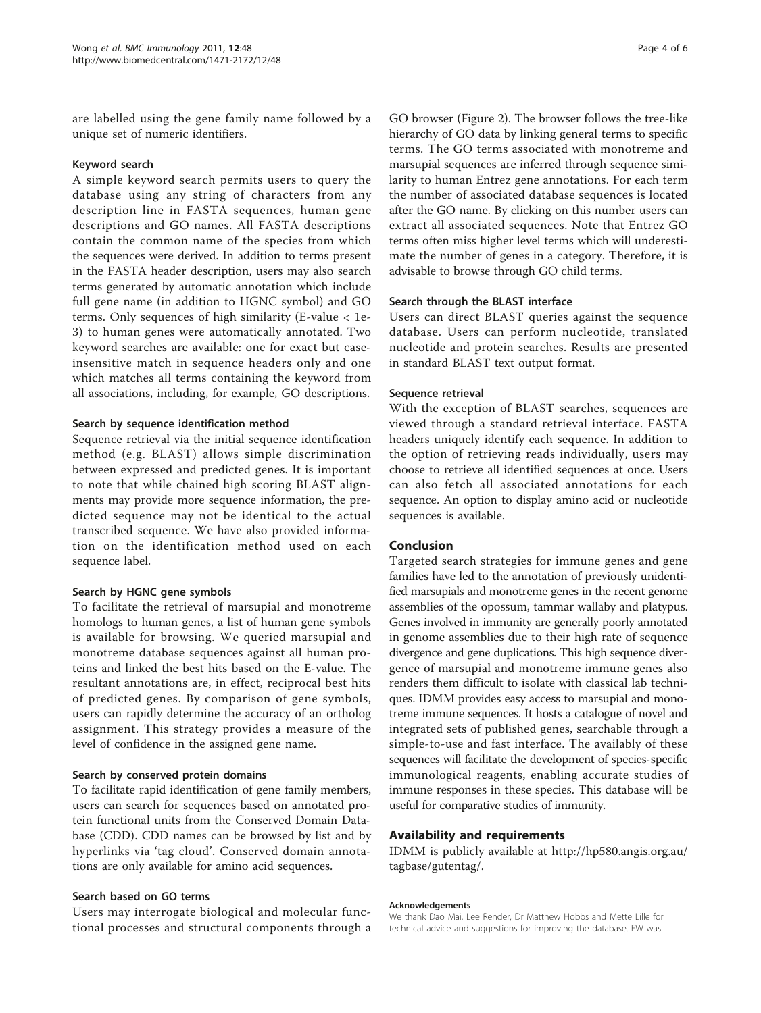are labelled using the gene family name followed by a unique set of numeric identifiers.

### Keyword search

A simple keyword search permits users to query the database using any string of characters from any description line in FASTA sequences, human gene descriptions and GO names. All FASTA descriptions contain the common name of the species from which the sequences were derived. In addition to terms present in the FASTA header description, users may also search terms generated by automatic annotation which include full gene name (in addition to HGNC symbol) and GO terms. Only sequences of high similarity (E-value < 1e-3) to human genes were automatically annotated. Two keyword searches are available: one for exact but caseinsensitive match in sequence headers only and one which matches all terms containing the keyword from all associations, including, for example, GO descriptions.

# Search by sequence identification method

Sequence retrieval via the initial sequence identification method (e.g. BLAST) allows simple discrimination between expressed and predicted genes. It is important to note that while chained high scoring BLAST alignments may provide more sequence information, the predicted sequence may not be identical to the actual transcribed sequence. We have also provided information on the identification method used on each sequence label.

# Search by HGNC gene symbols

To facilitate the retrieval of marsupial and monotreme homologs to human genes, a list of human gene symbols is available for browsing. We queried marsupial and monotreme database sequences against all human proteins and linked the best hits based on the E-value. The resultant annotations are, in effect, reciprocal best hits of predicted genes. By comparison of gene symbols, users can rapidly determine the accuracy of an ortholog assignment. This strategy provides a measure of the level of confidence in the assigned gene name.

#### Search by conserved protein domains

To facilitate rapid identification of gene family members, users can search for sequences based on annotated protein functional units from the Conserved Domain Database (CDD). CDD names can be browsed by list and by hyperlinks via 'tag cloud'. Conserved domain annotations are only available for amino acid sequences.

# Search based on GO terms

Users may interrogate biological and molecular functional processes and structural components through a

GO browser (Figure [2\)](#page-2-0). The browser follows the tree-like hierarchy of GO data by linking general terms to specific terms. The GO terms associated with monotreme and marsupial sequences are inferred through sequence similarity to human Entrez gene annotations. For each term the number of associated database sequences is located after the GO name. By clicking on this number users can extract all associated sequences. Note that Entrez GO terms often miss higher level terms which will underestimate the number of genes in a category. Therefore, it is advisable to browse through GO child terms.

# Search through the BLAST interface

Users can direct BLAST queries against the sequence database. Users can perform nucleotide, translated nucleotide and protein searches. Results are presented in standard BLAST text output format.

# Sequence retrieval

With the exception of BLAST searches, sequences are viewed through a standard retrieval interface. FASTA headers uniquely identify each sequence. In addition to the option of retrieving reads individually, users may choose to retrieve all identified sequences at once. Users can also fetch all associated annotations for each sequence. An option to display amino acid or nucleotide sequences is available.

# Conclusion

Targeted search strategies for immune genes and gene families have led to the annotation of previously unidentified marsupials and monotreme genes in the recent genome assemblies of the opossum, tammar wallaby and platypus. Genes involved in immunity are generally poorly annotated in genome assemblies due to their high rate of sequence divergence and gene duplications. This high sequence divergence of marsupial and monotreme immune genes also renders them difficult to isolate with classical lab techniques. IDMM provides easy access to marsupial and monotreme immune sequences. It hosts a catalogue of novel and integrated sets of published genes, searchable through a simple-to-use and fast interface. The availably of these sequences will facilitate the development of species-specific immunological reagents, enabling accurate studies of immune responses in these species. This database will be useful for comparative studies of immunity.

# Availability and requirements

IDMM is publicly available at [http://hp580.angis.org.au/](http://hp580.angis.org.au/tagbase/gutentag/) [tagbase/gutentag/.](http://hp580.angis.org.au/tagbase/gutentag/)

#### Acknowledgements

We thank Dao Mai, Lee Render, Dr Matthew Hobbs and Mette Lille for technical advice and suggestions for improving the database. EW was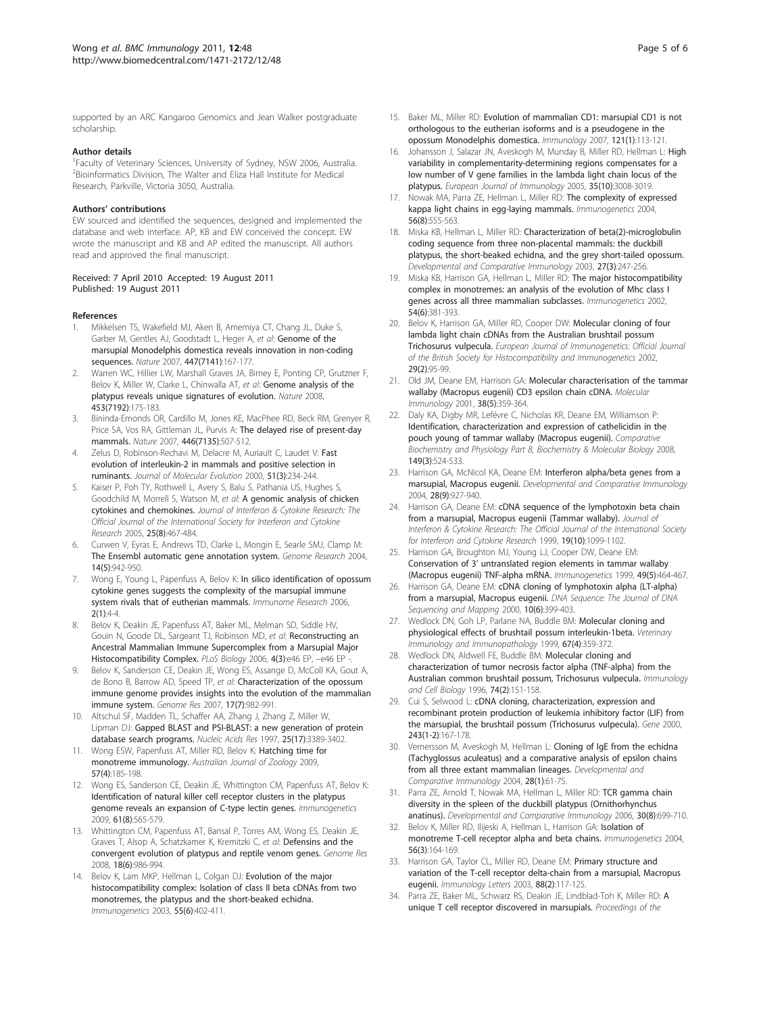<span id="page-4-0"></span>supported by an ARC Kangaroo Genomics and Jean Walker postgraduate scholarship.

#### Author details

<sup>1</sup> Faculty of Veterinary Sciences, University of Sydney, NSW 2006, Australia. <sup>2</sup> Bioinformatics Division, The Walter and Eliza Hall Institute for Medical Research, Parkville, Victoria 3050, Australia.

#### Authors' contributions

EW sourced and identified the sequences, designed and implemented the database and web interface. AP, KB and EW conceived the concept. EW wrote the manuscript and KB and AP edited the manuscript. All authors read and approved the final manuscript.

#### Received: 7 April 2010 Accepted: 19 August 2011 Published: 19 August 2011

#### References

- 1. Mikkelsen TS, Wakefield MJ, Aken B, Amemiya CT, Chang JL, Duke S, Garber M, Gentles AJ, Goodstadt L, Heger A, et al: [Genome of the](http://www.ncbi.nlm.nih.gov/pubmed/17495919?dopt=Abstract) [marsupial Monodelphis domestica reveals innovation in non-coding](http://www.ncbi.nlm.nih.gov/pubmed/17495919?dopt=Abstract) [sequences.](http://www.ncbi.nlm.nih.gov/pubmed/17495919?dopt=Abstract) Nature 2007, 447(7141):167-177.
- Warren WC, Hillier LW, Marshall Graves JA, Birney E, Ponting CP, Grutzner F, Belov K, Miller W, Clarke L, Chinwalla AT, et al: [Genome analysis of the](http://www.ncbi.nlm.nih.gov/pubmed/18464734?dopt=Abstract) [platypus reveals unique signatures of evolution.](http://www.ncbi.nlm.nih.gov/pubmed/18464734?dopt=Abstract) Nature 2008, 453(7192):175-183.
- Bininda-Emonds OR, Cardillo M, Jones KE, MacPhee RD, Beck RM, Grenyer R, Price SA, Vos RA, Gittleman JL, Purvis A: [The delayed rise of present-day](http://www.ncbi.nlm.nih.gov/pubmed/17392779?dopt=Abstract) [mammals.](http://www.ncbi.nlm.nih.gov/pubmed/17392779?dopt=Abstract) Nature 2007, 446(7135):507-512.
- Zelus D, Robinson-Rechavi M, Delacre M, Auriault C, Laudet V: [Fast](http://www.ncbi.nlm.nih.gov/pubmed/11029068?dopt=Abstract) [evolution of interleukin-2 in mammals and positive selection in](http://www.ncbi.nlm.nih.gov/pubmed/11029068?dopt=Abstract) [ruminants.](http://www.ncbi.nlm.nih.gov/pubmed/11029068?dopt=Abstract) Journal of Molecular Evolution 2000, 51(3):234-244.
- 5. Kaiser P, Poh TY, Rothwell L, Avery S, Balu S, Pathania US, Hughes S, Goodchild M, Morrell S, Watson M, et al: [A genomic analysis of chicken](http://www.ncbi.nlm.nih.gov/pubmed/21862834?dopt=Abstract) [cytokines and chemokines.](http://www.ncbi.nlm.nih.gov/pubmed/21862834?dopt=Abstract) Journal of Interferon & Cytokine Research: The Official Journal of the International Society for Interferon and Cytokine Research 2005, 25(8):467-484.
- 6. Curwen V, Eyras E, Andrews TD, Clarke L, Mongin E, Searle SMJ, Clamp M: [The Ensembl automatic gene annotation system.](http://www.ncbi.nlm.nih.gov/pubmed/15123590?dopt=Abstract) Genome Research 2004, 14(5):942-950.
- Wong E, Young L, Papenfuss A, Belov K: [In silico identification of opossum](http://www.ncbi.nlm.nih.gov/pubmed/17094811?dopt=Abstract) [cytokine genes suggests the complexity of the marsupial immune](http://www.ncbi.nlm.nih.gov/pubmed/17094811?dopt=Abstract) [system rivals that of eutherian mammals.](http://www.ncbi.nlm.nih.gov/pubmed/17094811?dopt=Abstract) Immunome Research 2006, 2(1):4-4.
- 8. Belov K, Deakin JE, Papenfuss AT, Baker ML, Melman SD, Siddle HV, Gouin N, Goode DL, Sargeant TJ, Robinson MD, et al: Reconstructing an Ancestral Mammalian Immune Supercomplex from a Marsupial Major Histocompatibility Complex. PLoS Biology 2006, 4(3):e46 EP, -e46 EP -
- 9. Belov K, Sanderson CE, Deakin JE, Wong ES, Assange D, McColl KA, Gout A, de Bono B, Barrow AD, Speed TP, et al: [Characterization of the opossum](http://www.ncbi.nlm.nih.gov/pubmed/17495011?dopt=Abstract) [immune genome provides insights into the evolution of the mammalian](http://www.ncbi.nlm.nih.gov/pubmed/17495011?dopt=Abstract) [immune system.](http://www.ncbi.nlm.nih.gov/pubmed/17495011?dopt=Abstract) Genome Res 2007, 17(7):982-991.
- 10. Altschul SF, Madden TL, Schaffer AA, Zhang J, Zhang Z, Miller W, Lipman DJ: [Gapped BLAST and PSI-BLAST: a new generation of protein](http://www.ncbi.nlm.nih.gov/pubmed/9254694?dopt=Abstract) [database search programs.](http://www.ncbi.nlm.nih.gov/pubmed/9254694?dopt=Abstract) Nucleic Acids Res 1997, 25(17):3389-3402.
- 11. Wong ESW, Papenfuss AT, Miller RD, Belov K: Hatching time for monotreme immunology. Australian Journal of Zoology 2009, 57(4):185-198.
- 12. Wong ES, Sanderson CE, Deakin JE, Whittington CM, Papenfuss AT, Belov K: [Identification of natural killer cell receptor clusters in the platypus](http://www.ncbi.nlm.nih.gov/pubmed/19597809?dopt=Abstract) [genome reveals an expansion of C-type lectin genes.](http://www.ncbi.nlm.nih.gov/pubmed/19597809?dopt=Abstract) Immunogenetics 2009, 61(8):565-579.
- 13. Whittington CM, Papenfuss AT, Bansal P, Torres AM, Wong ES, Deakin JE, Graves T, Alsop A, Schatzkamer K, Kremitzki C, et al: [Defensins and the](http://www.ncbi.nlm.nih.gov/pubmed/18463304?dopt=Abstract) [convergent evolution of platypus and reptile venom genes.](http://www.ncbi.nlm.nih.gov/pubmed/18463304?dopt=Abstract) Genome Res 2008, 18(6):986-994.
- 14. Belov K, Lam MKP, Hellman L, Colgan DJ: [Evolution of the major](http://www.ncbi.nlm.nih.gov/pubmed/12942212?dopt=Abstract) [histocompatibility complex: Isolation of class II beta cDNAs from two](http://www.ncbi.nlm.nih.gov/pubmed/12942212?dopt=Abstract) [monotremes, the platypus and the short-beaked echidna.](http://www.ncbi.nlm.nih.gov/pubmed/12942212?dopt=Abstract) Immunogenetics 2003, 55(6):402-411.
- 15. Baker ML, Miller RD: [Evolution of mammalian CD1: marsupial CD1 is not](http://www.ncbi.nlm.nih.gov/pubmed/17244156?dopt=Abstract) [orthologous to the eutherian isoforms and is a pseudogene in the](http://www.ncbi.nlm.nih.gov/pubmed/17244156?dopt=Abstract) [opossum Monodelphis domestica.](http://www.ncbi.nlm.nih.gov/pubmed/17244156?dopt=Abstract) Immunology 2007, 121(1):113-121.
- 16. Johansson J, Salazar JN, Aveskogh M, Munday B, Miller RD, Hellman L: [High](http://www.ncbi.nlm.nih.gov/pubmed/16143985?dopt=Abstract) [variability in complementarity-determining regions compensates for a](http://www.ncbi.nlm.nih.gov/pubmed/16143985?dopt=Abstract) [low number of V gene families in the lambda light chain locus of the](http://www.ncbi.nlm.nih.gov/pubmed/16143985?dopt=Abstract) [platypus.](http://www.ncbi.nlm.nih.gov/pubmed/16143985?dopt=Abstract) European Journal of Immunology 2005, 35(10):3008-3019.
- 17. Nowak MA, Parra ZE, Hellman L, Miller RD: [The complexity of expressed](http://www.ncbi.nlm.nih.gov/pubmed/15448942?dopt=Abstract) [kappa light chains in egg-laying mammals.](http://www.ncbi.nlm.nih.gov/pubmed/15448942?dopt=Abstract) Immunogenetics 2004, 56(8):555-563.
- 18. Miska KB, Hellman L, Miller RD: [Characterization of beta\(2\)-microglobulin](http://www.ncbi.nlm.nih.gov/pubmed/12590975?dopt=Abstract) [coding sequence from three non-placental mammals: the duckbill](http://www.ncbi.nlm.nih.gov/pubmed/12590975?dopt=Abstract) [platypus, the short-beaked echidna, and the grey short-tailed opossum.](http://www.ncbi.nlm.nih.gov/pubmed/12590975?dopt=Abstract) Developmental and Comparative Immunology 2003, 27(3):247-256.
- 19. Miska KB, Harrison GA, Hellman L, Miller RD: [The major histocompatibility](http://www.ncbi.nlm.nih.gov/pubmed/12242589?dopt=Abstract) [complex in monotremes: an analysis of the evolution of Mhc class I](http://www.ncbi.nlm.nih.gov/pubmed/12242589?dopt=Abstract) [genes across all three mammalian subclasses.](http://www.ncbi.nlm.nih.gov/pubmed/12242589?dopt=Abstract) Immunogenetics 2002, 54(6):381-393.
- 20. Belov K, Harrison GA, Miller RD, Cooper DW: Molecular cloning of four lambda light chain cDNAs from the Australian brushtail possum Trichosurus vulpecula. European Journal of Immunogenetics: Official Journal of the British Society for Histocompatibility and Immunogenetics 2002, 29(2):95-99.
- 21. Old JM, Deane EM, Harrison GA: [Molecular characterisation of the tammar](http://www.ncbi.nlm.nih.gov/pubmed/11684291?dopt=Abstract) [wallaby \(Macropus eugenii\) CD3 epsilon chain cDNA.](http://www.ncbi.nlm.nih.gov/pubmed/11684291?dopt=Abstract) Molecular Immunology 2001, 38(5):359-364.
- 22. Daly KA, Digby MR, Lefévre C, Nicholas KR, Deane EM, Williamson P: [Identification, characterization and expression of cathelicidin in the](http://www.ncbi.nlm.nih.gov/pubmed/20167282?dopt=Abstract) [pouch young of tammar wallaby \(Macropus eugenii\).](http://www.ncbi.nlm.nih.gov/pubmed/20167282?dopt=Abstract) Comparative Biochemistry and Physiology Part B, Biochemistry & Molecular Biology 2008, 149(3):524-533.
- 23. Harrison GA, McNicol KA, Deane EM: [Interferon alpha/beta genes from a](http://www.ncbi.nlm.nih.gov/pubmed/15183033?dopt=Abstract) [marsupial, Macropus eugenii.](http://www.ncbi.nlm.nih.gov/pubmed/15183033?dopt=Abstract) Developmental and Comparative Immunology 2004, 28(9):927-940.
- 24. Harrison GA, Deane EM: [cDNA sequence of the lymphotoxin beta chain](http://www.ncbi.nlm.nih.gov/pubmed/21862834?dopt=Abstract) [from a marsupial, Macropus eugenii \(Tammar wallaby\).](http://www.ncbi.nlm.nih.gov/pubmed/21862834?dopt=Abstract) Journal of Interferon & Cytokine Research: The Official Journal of the International Society for Interferon and Cytokine Research 1999, 19(10):1099-1102.
- 25. Harrison GA, Broughton MJ, Young LJ, Cooper DW, Deane EM: Conservation of 3' [untranslated region elements in tammar wallaby](http://www.ncbi.nlm.nih.gov/pubmed/10199924?dopt=Abstract) [\(Macropus eugenii\) TNF-alpha mRNA.](http://www.ncbi.nlm.nih.gov/pubmed/10199924?dopt=Abstract) Immunogenetics 1999, 49(5):464-467.
- 26. Harrison GA, Deane EM: cDNA cloning of lymphotoxin alpha (LT-alpha) from a marsupial, Macropus eugenii. DNA Sequence: The Journal of DNA Sequencing and Mapping 2000, 10(6):399-403.
- 27. Wedlock DN, Goh LP, Parlane NA, Buddle BM: [Molecular cloning and](http://www.ncbi.nlm.nih.gov/pubmed/10206203?dopt=Abstract) [physiological effects of brushtail possum interleukin-1beta.](http://www.ncbi.nlm.nih.gov/pubmed/10206203?dopt=Abstract) Veterinary Immunology and Immunopathology 1999, 67(4):359-372.
- 28. Wedlock DN, Aldwell FE, Buddle BM: [Molecular cloning and](http://www.ncbi.nlm.nih.gov/pubmed/8724002?dopt=Abstract) [characterization of tumor necrosis factor alpha \(TNF-alpha\) from the](http://www.ncbi.nlm.nih.gov/pubmed/8724002?dopt=Abstract) [Australian common brushtail possum, Trichosurus vulpecula.](http://www.ncbi.nlm.nih.gov/pubmed/8724002?dopt=Abstract) Immunology and Cell Biology 1996, 74(2):151-158.
- 29. Cui S, Selwood L: [cDNA cloning, characterization, expression and](http://www.ncbi.nlm.nih.gov/pubmed/10675625?dopt=Abstract) [recombinant protein production of leukemia inhibitory factor \(LIF\) from](http://www.ncbi.nlm.nih.gov/pubmed/10675625?dopt=Abstract) [the marsupial, the brushtail possum \(Trichosurus vulpecula\).](http://www.ncbi.nlm.nih.gov/pubmed/10675625?dopt=Abstract) Gene 2000, 243(1-2):167-178.
- 30. Vernersson M, Aveskogh M, Hellman L: [Cloning of IgE from the echidna](http://www.ncbi.nlm.nih.gov/pubmed/12962983?dopt=Abstract) [\(Tachyglossus aculeatus\) and a comparative analysis of epsilon chains](http://www.ncbi.nlm.nih.gov/pubmed/12962983?dopt=Abstract) [from all three extant mammalian lineages.](http://www.ncbi.nlm.nih.gov/pubmed/12962983?dopt=Abstract) Developmental and Comparative Immunology 2004, 28(1):61-75.
- 31. Parra ZE, Arnold T, Nowak MA, Hellman L, Miller RD: [TCR gamma chain](http://www.ncbi.nlm.nih.gov/pubmed/16303181?dopt=Abstract) [diversity in the spleen of the duckbill platypus \(Ornithorhynchus](http://www.ncbi.nlm.nih.gov/pubmed/16303181?dopt=Abstract) [anatinus\).](http://www.ncbi.nlm.nih.gov/pubmed/16303181?dopt=Abstract) Developmental and Comparative Immunology 2006, 30(8):699-710.
- 32. Belov K, Miller RD, Ilijeski A, Hellman L, Harrison GA: [Isolation of](http://www.ncbi.nlm.nih.gov/pubmed/15133646?dopt=Abstract) [monotreme T-cell receptor alpha and beta chains.](http://www.ncbi.nlm.nih.gov/pubmed/15133646?dopt=Abstract) Immunogenetics 2004, 56(3):164-169.
- 33. Harrison GA, Taylor CL, Miller RD, Deane EM: [Primary structure and](http://www.ncbi.nlm.nih.gov/pubmed/12880681?dopt=Abstract) [variation of the T-cell receptor delta-chain from a marsupial, Macropus](http://www.ncbi.nlm.nih.gov/pubmed/12880681?dopt=Abstract) [eugenii.](http://www.ncbi.nlm.nih.gov/pubmed/12880681?dopt=Abstract) Immunology Letters 2003, 88(2):117-125.
- 34. Parra ZE, Baker ML, Schwarz RS, Deakin JE, Lindblad-Toh K, Miller RD: [A](http://www.ncbi.nlm.nih.gov/pubmed/17535902?dopt=Abstract) [unique T cell receptor discovered in marsupials.](http://www.ncbi.nlm.nih.gov/pubmed/17535902?dopt=Abstract) Proceedings of the